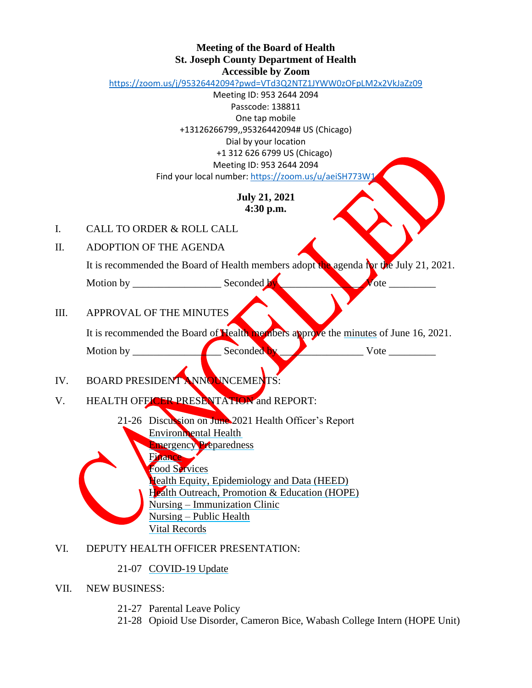#### **Meeting of the Board of Health St. Joseph County Department of Health Accessible by Zoom**

<https://zoom.us/j/95326442094?pwd=VTd3Q2NTZ1JYWW0zOFpLM2x2VkJaZz09>

Meeting ID: 953 2644 2094 Passcode: 138811

One tap mobile +13126266799,,95326442094# US (Chicago) Dial by your location +1 312 626 6799 US (Chicago) Meeting ID: 953 2644 2094 Find your local number[: https://zoom.us/u/aeiSH773W1](https://zoom.us/u/aeiSH773W1)

### **July 21, 2021 4:30 p.m.**

- I. CALL TO ORDER & ROLL CALL
- II. ADOPTION OF THE AGENDA

It is recommended the Board of Health members adopt the agenda for the July 21, 2021.

Motion by \_\_\_\_\_\_\_\_\_\_\_\_\_\_\_\_\_ Seconded by \_\_\_\_\_\_\_\_\_\_\_\_\_\_\_\_ Vote \_\_\_\_\_\_\_\_\_

III. APPROVAL OF THE MINUTES

It is recommended the Board of Health members approve the minutes of June 16, 2021.

Motion by \_\_\_\_\_\_\_\_\_\_\_\_\_\_\_\_\_ Seconded by \_\_\_\_\_\_\_\_\_\_\_\_\_\_\_\_ Vote \_\_\_\_\_\_\_\_\_

# IV. BOARD PRESIDENT ANNOUNCEMENTS:

- V. HEALTH OFFICER PRESENTATION and REPORT:
	- 21-26 Discussion on June 2021 Health Officer's Report Environmental Health Emergency Preparedness Finance Food Services Health Equity, Epidemiology and Data (HEED)
		- Health Outreach, Promotion & Education (HOPE) Nursing – Immunization Clinic Nursing – Public Health
		- Vital Records

# VI. DEPUTY HEALTH OFFICER PRESENTATION:

# 21-07 COVID-19 Update

# VII. NEW BUSINESS:

- 21-27 Parental Leave Policy
- 21-28 Opioid Use Disorder, Cameron Bice, Wabash College Intern (HOPE Unit)